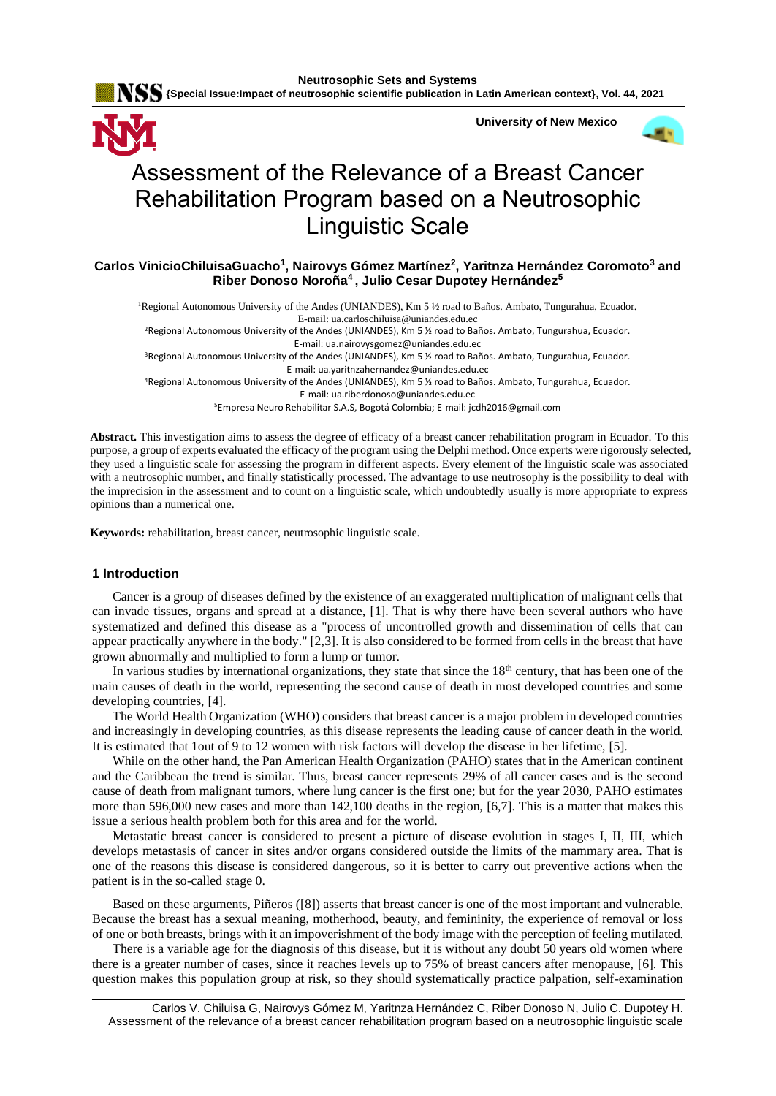

**University of New Mexico**



# Assessment of the Relevance of a Breast Cancer Rehabilitation Program based on a Neutrosophic Linguistic Scale

# **Carlos VinicioChiluisaGuacho<sup>1</sup> , Nairovys Gómez Martínez<sup>2</sup> , Yaritnza Hernández Coromoto<sup>3</sup> and Riber Donoso Noroña<sup>4</sup> , Julio Cesar Dupotey Hernández<sup>5</sup>**

<sup>1</sup>Regional Autonomous University of the Andes (UNIANDES), Km 5 1/2 road to Baños. Ambato, Tungurahua, Ecuador. E-mail[: ua.carloschiluisa@uniandes.edu.ec](mailto:ua.carloschiluisa@uniandes.edu.ec)

<sup>2</sup>Regional Autonomous University of the Andes (UNIANDES), Km 5 1/2 road to Baños. Ambato, Tungurahua, Ecuador. E-mail[: ua.nairovysgomez@uniandes.edu.ec](mailto:ua.nairovysgomez@uniandes.edu.ec)

<sup>3</sup>Regional Autonomous University of the Andes (UNIANDES), Km 5 1/2 road to Baños. Ambato, Tungurahua, Ecuador.

E-mail[: ua.yaritnzahernandez@uniandes.edu.ec](mailto:ua.yaritnzahernandez@uniandes.edu.ec)

<sup>4</sup>Regional Autonomous University of the Andes (UNIANDES), Km 5 ½ road to Baños. Ambato, Tungurahua, Ecuador.

E-mail[: ua.riberdonoso@uniandes.edu.ec](mailto:ua.riberdonoso@uniandes.edu.ec)

<sup>5</sup>Empresa Neuro Rehabilitar S.A.S, Bogotá Colombia; E-mail[: jcdh2016@gmail.com](mailto:jcdh2016@gmail.com)

**Abstract.** This investigation aims to assess the degree of efficacy of a breast cancer rehabilitation program in Ecuador. To this purpose, a group of experts evaluated the efficacy of the program using the Delphi method. Once experts were rigorously selected, they used a linguistic scale for assessing the program in different aspects. Every element of the linguistic scale was associated with a neutrosophic number, and finally statistically processed. The advantage to use neutrosophy is the possibility to deal with the imprecision in the assessment and to count on a linguistic scale, which undoubtedly usually is more appropriate to express opinions than a numerical one.

**Keywords:** rehabilitation, breast cancer, neutrosophic linguistic scale.

# **1 Introduction**

Cancer is a group of diseases defined by the existence of an exaggerated multiplication of malignant cells that can invade tissues, organs and spread at a distance, [1]. That is why there have been several authors who have systematized and defined this disease as a "process of uncontrolled growth and dissemination of cells that can appear practically anywhere in the body." [2,3]. It is also considered to be formed from cells in the breast that have grown abnormally and multiplied to form a lump or tumor.

In various studies by international organizations, they state that since the  $18<sup>th</sup>$  century, that has been one of the main causes of death in the world, representing the second cause of death in most developed countries and some developing countries, [4].

The World Health Organization (WHO) considers that breast cancer is a major problem in developed countries and increasingly in developing countries, as this disease represents the leading cause of cancer death in the world. It is estimated that 1out of 9 to 12 women with risk factors will develop the disease in her lifetime, [5].

While on the other hand, the Pan American Health Organization (PAHO) states that in the American continent and the Caribbean the trend is similar. Thus, breast cancer represents 29% of all cancer cases and is the second cause of death from malignant tumors, where lung cancer is the first one; but for the year 2030, PAHO estimates more than 596,000 new cases and more than 142,100 deaths in the region, [6,7]. This is a matter that makes this issue a serious health problem both for this area and for the world.

Metastatic breast cancer is considered to present a picture of disease evolution in stages I, II, III, which develops metastasis of cancer in sites and/or organs considered outside the limits of the mammary area. That is one of the reasons this disease is considered dangerous, so it is better to carry out preventive actions when the patient is in the so-called stage 0.

Based on these arguments, Piñeros ([8]) asserts that breast cancer is one of the most important and vulnerable. Because the breast has a sexual meaning, motherhood, beauty, and femininity, the experience of removal or loss of one or both breasts, brings with it an impoverishment of the body image with the perception of feeling mutilated.

There is a variable age for the diagnosis of this disease, but it is without any doubt 50 years old women where there is a greater number of cases, since it reaches levels up to 75% of breast cancers after menopause, [6]. This question makes this population group at risk, so they should systematically practice palpation, self-examination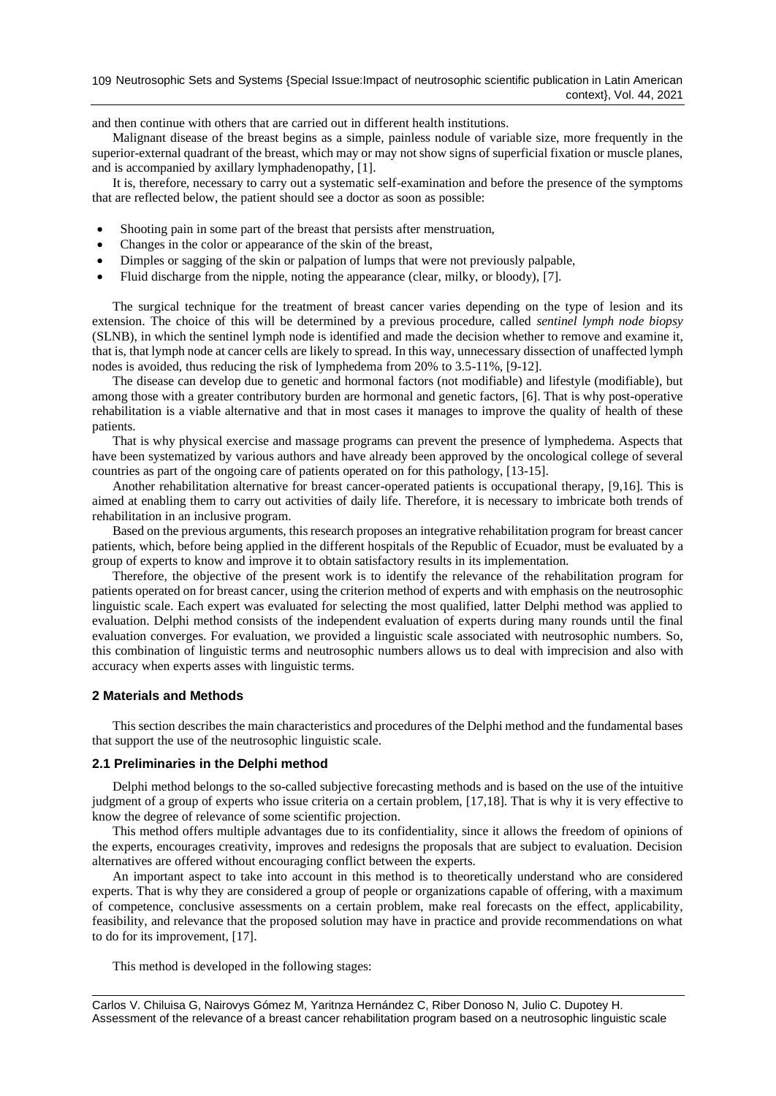and then continue with others that are carried out in different health institutions.

Malignant disease of the breast begins as a simple, painless nodule of variable size, more frequently in the superior-external quadrant of the breast, which may or may not show signs of superficial fixation or muscle planes, and is accompanied by axillary lymphadenopathy, [1].

It is, therefore, necessary to carry out a systematic self-examination and before the presence of the symptoms that are reflected below, the patient should see a doctor as soon as possible:

- Shooting pain in some part of the breast that persists after menstruation,
- Changes in the color or appearance of the skin of the breast,
- Dimples or sagging of the skin or palpation of lumps that were not previously palpable,
- Fluid discharge from the nipple, noting the appearance (clear, milky, or bloody), [7].

The surgical technique for the treatment of breast cancer varies depending on the type of lesion and its extension. The choice of this will be determined by a previous procedure, called *sentinel lymph node biopsy* (SLNB), in which the sentinel lymph node is identified and made the decision whether to remove and examine it, that is, that lymph node at cancer cells are likely to spread. In this way, unnecessary dissection of unaffected lymph nodes is avoided, thus reducing the risk of lymphedema from 20% to 3.5-11%, [9-12].

The disease can develop due to genetic and hormonal factors (not modifiable) and lifestyle (modifiable), but among those with a greater contributory burden are hormonal and genetic factors, [6]. That is why post-operative rehabilitation is a viable alternative and that in most cases it manages to improve the quality of health of these patients.

That is why physical exercise and massage programs can prevent the presence of lymphedema. Aspects that have been systematized by various authors and have already been approved by the oncological college of several countries as part of the ongoing care of patients operated on for this pathology, [13-15].

Another rehabilitation alternative for breast cancer-operated patients is occupational therapy, [9,16]. This is aimed at enabling them to carry out activities of daily life. Therefore, it is necessary to imbricate both trends of rehabilitation in an inclusive program.

Based on the previous arguments, this research proposes an integrative rehabilitation program for breast cancer patients, which, before being applied in the different hospitals of the Republic of Ecuador, must be evaluated by a group of experts to know and improve it to obtain satisfactory results in its implementation.

Therefore, the objective of the present work is to identify the relevance of the rehabilitation program for patients operated on for breast cancer, using the criterion method of experts and with emphasis on the neutrosophic linguistic scale. Each expert was evaluated for selecting the most qualified, latter Delphi method was applied to evaluation. Delphi method consists of the independent evaluation of experts during many rounds until the final evaluation converges. For evaluation, we provided a linguistic scale associated with neutrosophic numbers. So, this combination of linguistic terms and neutrosophic numbers allows us to deal with imprecision and also with accuracy when experts asses with linguistic terms.

## **2 Materials and Methods**

This section describes the main characteristics and procedures of the Delphi method and the fundamental bases that support the use of the neutrosophic linguistic scale.

## **2.1 Preliminaries in the Delphi method**

Delphi method belongs to the so-called subjective forecasting methods and is based on the use of the intuitive judgment of a group of experts who issue criteria on a certain problem, [17,18]. That is why it is very effective to know the degree of relevance of some scientific projection.

This method offers multiple advantages due to its confidentiality, since it allows the freedom of opinions of the experts, encourages creativity, improves and redesigns the proposals that are subject to evaluation. Decision alternatives are offered without encouraging conflict between the experts.

An important aspect to take into account in this method is to theoretically understand who are considered experts. That is why they are considered a group of people or organizations capable of offering, with a maximum of competence, conclusive assessments on a certain problem, make real forecasts on the effect, applicability, feasibility, and relevance that the proposed solution may have in practice and provide recommendations on what to do for its improvement, [17].

This method is developed in the following stages: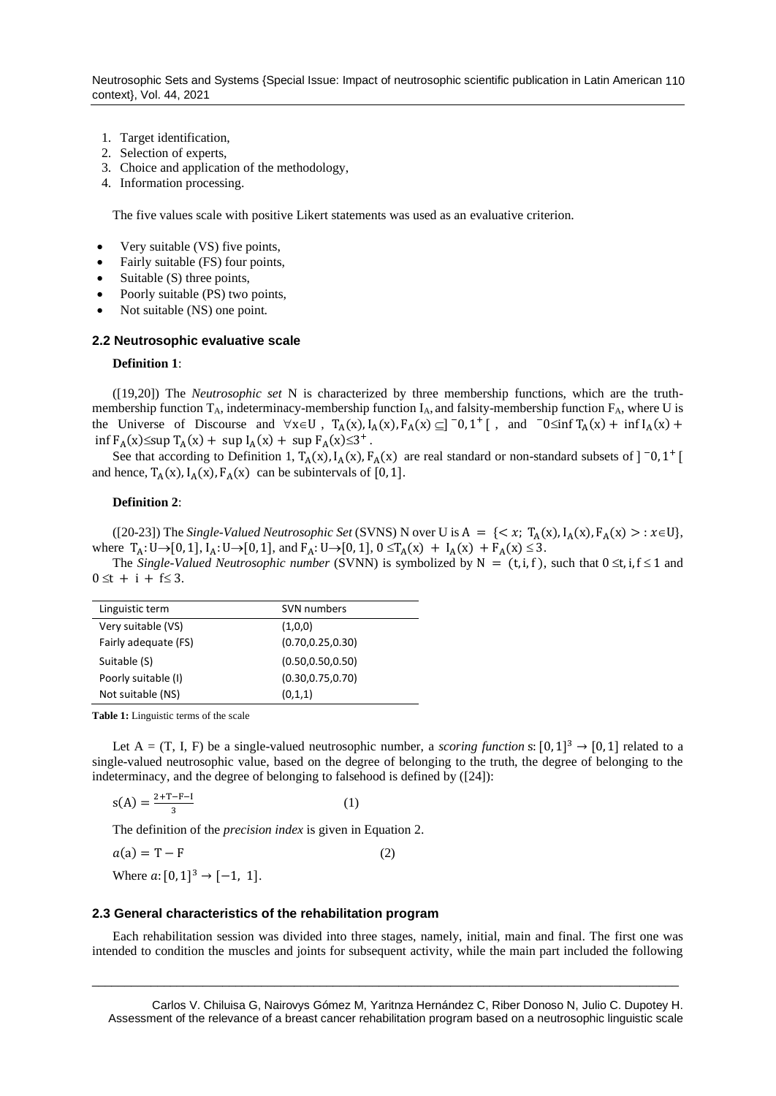- 1. Target identification,
- 2. Selection of experts,
- 3. Choice and application of the methodology,
- 4. Information processing.

The five values scale with positive Likert statements was used as an evaluative criterion.

- Very suitable (VS) five points,
- Fairly suitable (FS) four points,
- Suitable (S) three points,
- Poorly suitable (PS) two points,
- Not suitable (NS) one point.

#### **2.2 Neutrosophic evaluative scale**

#### **Definition 1**:

([19,20]) The *Neutrosophic set* N is characterized by three membership functions, which are the truthmembership function  $T_A$ , indeterminacy-membership function  $I_A$ , and falsity-membership function  $F_A$ , where U is the Universe of Discourse and  $\forall x \in U$ ,  $T_A(x)$ ,  $I_A(x)$ ,  $F_A(x) \subseteq ]\big]$   $[0, 1^+]$ , and  $\big[0, 0^+]$   $T_A(x) + \inf I_A(x) +$  $\inf F_A(x) \leq \sup T_A(x) + \sup I_A(x) + \sup F_A(x) \leq 3^+$ .

See that according to Definition 1,  $T_A(x)$ ,  $I_A(x)$ ,  $F_A(x)$  are real standard or non-standard subsets of  $]$  <sup>-</sup>0, 1<sup>+</sup> [ and hence,  $T_A(x)$ ,  $I_A(x)$ ,  $F_A(x)$  can be subintervals of [0, 1].

#### **Definition 2**:

([20-23]) The *Single-Valued Neutrosophic Set* (SVNS) N over U is  $A = \{ \langle x, T_A(x), I_A(x), F_A(x) \rangle : x \in U \}$ , where  $T_A: U \to [0, 1], I_A: U \to [0, 1],$  and  $F_A: U \to [0, 1], 0 \le T_A(x) + I_A(x) + F_A(x) \le 3.$ 

The *Single-Valued Neutrosophic number* (SVNN) is symbolized by N =  $(t, i, f)$ , such that  $0 \le t, i, f \le 1$  and  $0 \le t + i + f \le 3$ .

| Linguistic term      | SVN numbers        |  |  |
|----------------------|--------------------|--|--|
| Very suitable (VS)   | (1,0,0)            |  |  |
| Fairly adequate (FS) | (0.70, 0.25, 0.30) |  |  |
| Suitable (S)         | (0.50, 0.50, 0.50) |  |  |
| Poorly suitable (I)  | (0.30, 0.75, 0.70) |  |  |
| Not suitable (NS)    | (0,1,1)            |  |  |

**Table 1:** Linguistic terms of the scale

Let A = (T, I, F) be a single-valued neutrosophic number, a *scoring function* s:  $[0,1]^3 \rightarrow [0,1]$  related to a single-valued neutrosophic value, based on the degree of belonging to the truth, the degree of belonging to the indeterminacy, and the degree of belonging to falsehood is defined by ([24]):

$$
s(A) = \frac{2 + T - F - I}{3} \tag{1}
$$

The definition of the *precision index* is given in Equation 2.

$$
a(a) = T - F \tag{2}
$$

Where  $a: [0, 1]^3 \rightarrow [-1, 1]$ .

#### **2.3 General characteristics of the rehabilitation program**

Each rehabilitation session was divided into three stages, namely, initial, main and final. The first one was intended to condition the muscles and joints for subsequent activity, while the main part included the following

\_\_\_\_\_\_\_\_\_\_\_\_\_\_\_\_\_\_\_\_\_\_\_\_\_\_\_\_\_\_\_\_\_\_\_\_\_\_\_\_\_\_\_\_\_\_\_\_\_\_\_\_\_\_\_\_\_\_\_\_\_\_\_\_\_\_\_\_\_\_\_\_\_\_\_\_\_\_\_\_\_\_\_\_\_\_\_\_\_\_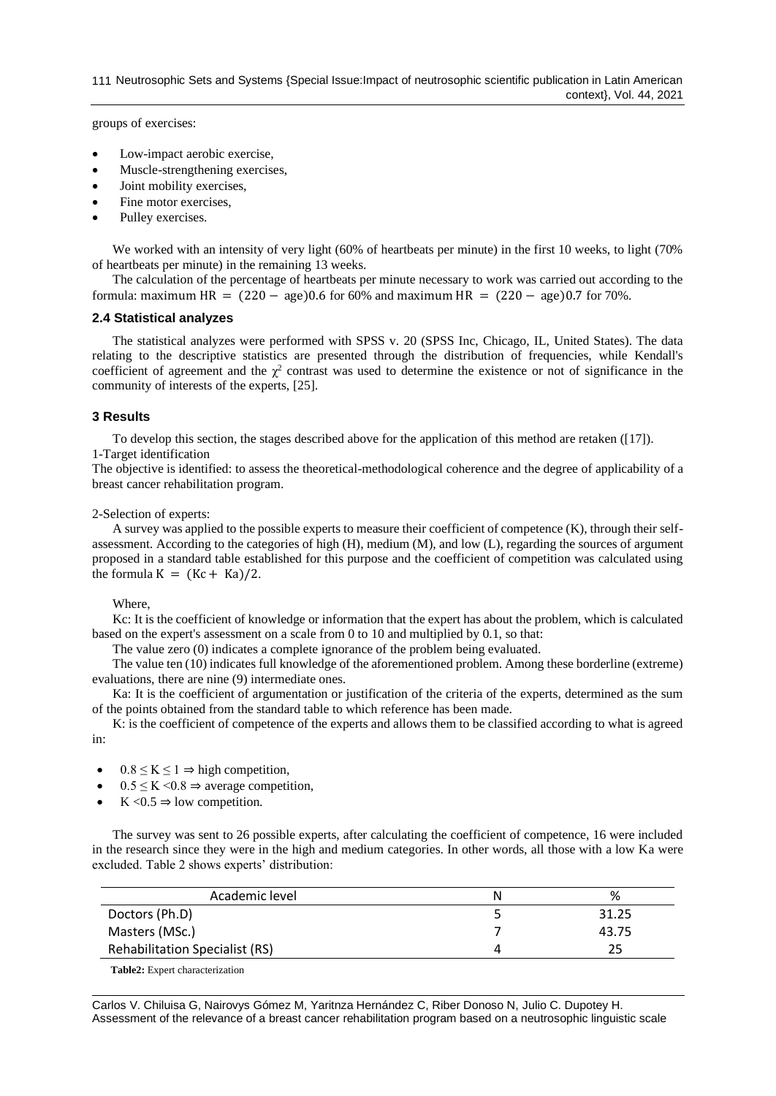groups of exercises:

- Low-impact aerobic exercise,
- Muscle-strengthening exercises,
- Joint mobility exercises,
- Fine motor exercises,
- Pulley exercises.

We worked with an intensity of very light (60% of heartbeats per minute) in the first 10 weeks, to light (70% of heartbeats per minute) in the remaining 13 weeks.

The calculation of the percentage of heartbeats per minute necessary to work was carried out according to the formula: maximum HR =  $(220 - \text{age})0.6$  for 60% and maximum HR =  $(220 - \text{age})0.7$  for 70%.

## **2.4 Statistical analyzes**

The statistical analyzes were performed with SPSS v. 20 (SPSS Inc, Chicago, IL, United States). The data relating to the descriptive statistics are presented through the distribution of frequencies, while Kendall's coefficient of agreement and the  $\chi^2$  contrast was used to determine the existence or not of significance in the community of interests of the experts, [25].

# **3 Results**

To develop this section, the stages described above for the application of this method are retaken ([17]). 1-Target identification

The objective is identified: to assess the theoretical-methodological coherence and the degree of applicability of a breast cancer rehabilitation program.

# 2-Selection of experts:

A survey was applied to the possible experts to measure their coefficient of competence (K), through their selfassessment. According to the categories of high (H), medium (M), and low (L), regarding the sources of argument proposed in a standard table established for this purpose and the coefficient of competition was calculated using the formula  $K = (Kc + Ka)/2$ .

## Where,

Kc: It is the coefficient of knowledge or information that the expert has about the problem, which is calculated based on the expert's assessment on a scale from 0 to 10 and multiplied by 0.1, so that:

The value zero (0) indicates a complete ignorance of the problem being evaluated.

The value ten (10) indicates full knowledge of the aforementioned problem. Among these borderline (extreme) evaluations, there are nine (9) intermediate ones.

Ka: It is the coefficient of argumentation or justification of the criteria of the experts, determined as the sum of the points obtained from the standard table to which reference has been made.

K: is the coefficient of competence of the experts and allows them to be classified according to what is agreed in:

- $0.8 \le K \le 1 \Rightarrow$  high competition,
- $0.5 \leq K \leq 0.8 \Rightarrow$  average competition,
- K  $< 0.5 \Rightarrow$  low competition.

The survey was sent to 26 possible experts, after calculating the coefficient of competence, 16 were included in the research since they were in the high and medium categories. In other words, all those with a low Ka were excluded. Table 2 shows experts' distribution:

| Academic level                         | N | %     |  |  |  |
|----------------------------------------|---|-------|--|--|--|
| Doctors (Ph.D)                         |   | 31.25 |  |  |  |
| Masters (MSc.)                         |   | 43.75 |  |  |  |
| <b>Rehabilitation Specialist (RS)</b>  |   | フら    |  |  |  |
| <b>Table2:</b> Expert characterization |   |       |  |  |  |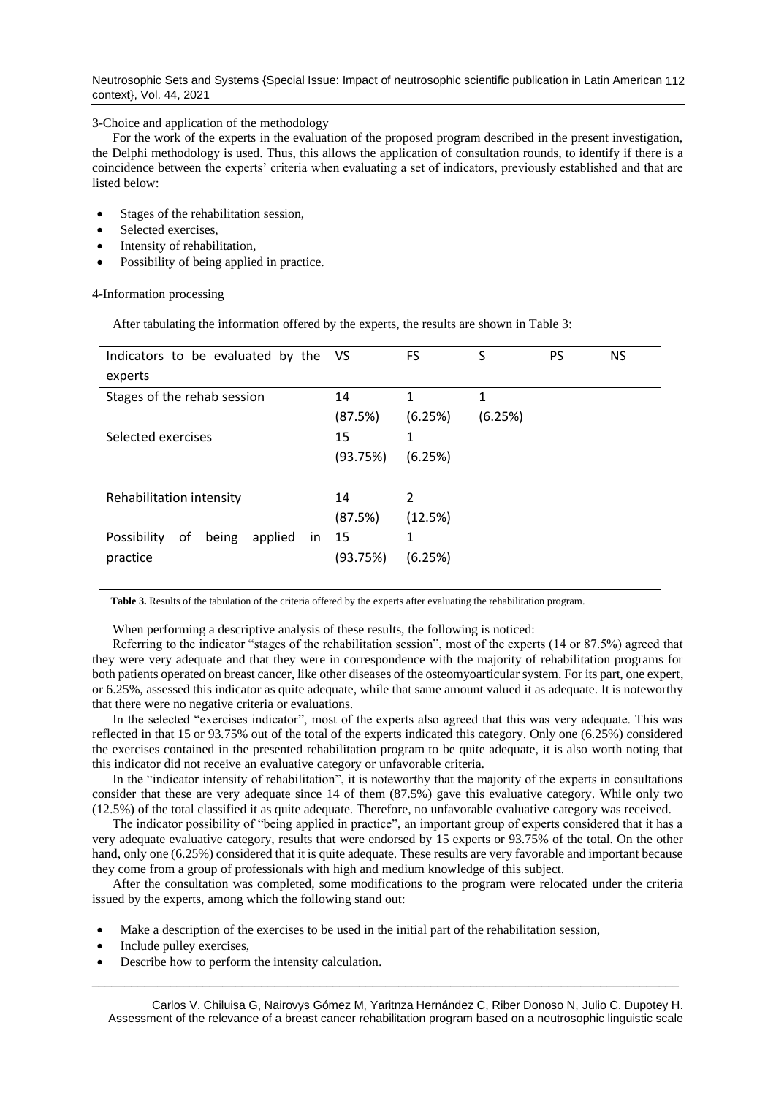Neutrosophic Sets and Systems {Special Issue: Impact of neutrosophic scientific publication in Latin American 112 context}, Vol. 44, 2021

3-Choice and application of the methodology

For the work of the experts in the evaluation of the proposed program described in the present investigation, the Delphi methodology is used. Thus, this allows the application of consultation rounds, to identify if there is a coincidence between the experts' criteria when evaluating a set of indicators, previously established and that are listed below:

- Stages of the rehabilitation session,
- Selected exercises,
- Intensity of rehabilitation,
- Possibility of being applied in practice.

4-Information processing

After tabulating the information offered by the experts, the results are shown in Table 3:

| Indicators to be evaluated by the VS        |          | FS             | S       | <b>PS</b> | NS. |
|---------------------------------------------|----------|----------------|---------|-----------|-----|
| experts                                     |          |                |         |           |     |
| Stages of the rehab session                 | 14       | 1              | 1       |           |     |
|                                             | (87.5%)  | (6.25%)        | (6.25%) |           |     |
| Selected exercises                          | 15       | 1              |         |           |     |
|                                             | (93.75%) | (6.25%)        |         |           |     |
|                                             |          |                |         |           |     |
| Rehabilitation intensity                    | 14       | $\mathfrak{p}$ |         |           |     |
|                                             | (87.5%)  | (12.5%)        |         |           |     |
| Possibility<br>applied<br>οf<br>being<br>in | - 15     | 1              |         |           |     |
| practice                                    | (93.75%) | (6.25%)        |         |           |     |
|                                             |          |                |         |           |     |

**Table 3.** Results of the tabulation of the criteria offered by the experts after evaluating the rehabilitation program.

When performing a descriptive analysis of these results, the following is noticed:

Referring to the indicator "stages of the rehabilitation session", most of the experts (14 or 87.5%) agreed that they were very adequate and that they were in correspondence with the majority of rehabilitation programs for both patients operated on breast cancer, like other diseases of the osteomyoarticular system. For its part, one expert, or 6.25%, assessed this indicator as quite adequate, while that same amount valued it as adequate. It is noteworthy that there were no negative criteria or evaluations.

In the selected "exercises indicator", most of the experts also agreed that this was very adequate. This was reflected in that 15 or 93.75% out of the total of the experts indicated this category. Only one (6.25%) considered the exercises contained in the presented rehabilitation program to be quite adequate, it is also worth noting that this indicator did not receive an evaluative category or unfavorable criteria.

In the "indicator intensity of rehabilitation", it is noteworthy that the majority of the experts in consultations consider that these are very adequate since 14 of them (87.5%) gave this evaluative category. While only two (12.5%) of the total classified it as quite adequate. Therefore, no unfavorable evaluative category was received.

The indicator possibility of "being applied in practice", an important group of experts considered that it has a very adequate evaluative category, results that were endorsed by 15 experts or 93.75% of the total. On the other hand, only one (6.25%) considered that it is quite adequate. These results are very favorable and important because they come from a group of professionals with high and medium knowledge of this subject.

After the consultation was completed, some modifications to the program were relocated under the criteria issued by the experts, among which the following stand out:

- Make a description of the exercises to be used in the initial part of the rehabilitation session,
- Include pulley exercises,
- Describe how to perform the intensity calculation.

Carlos V. Chiluisa G, Nairovys Gómez M, Yaritnza Hernández C, Riber Donoso N, Julio C. Dupotey H. Assessment of the relevance of a breast cancer rehabilitation program based on a neutrosophic linguistic scale

\_\_\_\_\_\_\_\_\_\_\_\_\_\_\_\_\_\_\_\_\_\_\_\_\_\_\_\_\_\_\_\_\_\_\_\_\_\_\_\_\_\_\_\_\_\_\_\_\_\_\_\_\_\_\_\_\_\_\_\_\_\_\_\_\_\_\_\_\_\_\_\_\_\_\_\_\_\_\_\_\_\_\_\_\_\_\_\_\_\_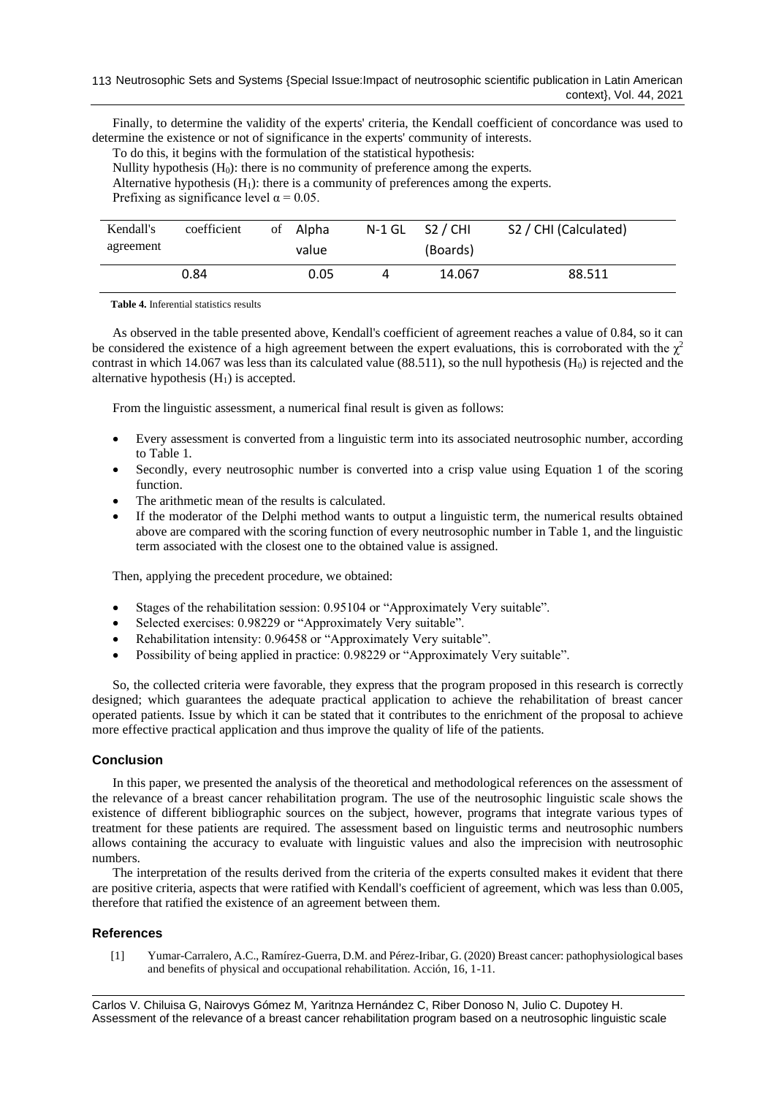Finally, to determine the validity of the experts' criteria, the Kendall coefficient of concordance was used to determine the existence or not of significance in the experts' community of interests.

To do this, it begins with the formulation of the statistical hypothesis:

Nullity hypothesis (H0): there is no community of preference among the experts.

Alternative hypothesis  $(H_1)$ : there is a community of preferences among the experts.

Prefixing as significance level  $\alpha = 0.05$ .

| Kendall's<br>agreement | coefficient | of Alpha<br>value | $N-1$ GL $S2$ / CHI<br>(Boards) | S2 / CHI (Calculated) |
|------------------------|-------------|-------------------|---------------------------------|-----------------------|
|                        | 0.84        | 0.05              | 14.067                          | 88.511                |

**Table 4.** Inferential statistics results

As observed in the table presented above, Kendall's coefficient of agreement reaches a value of 0.84, so it can be considered the existence of a high agreement between the expert evaluations, this is corroborated with the  $\chi^2$ contrast in which 14.067 was less than its calculated value  $(88.511)$ , so the null hypothesis  $(H_0)$  is rejected and the alternative hypothesis  $(H<sub>1</sub>)$  is accepted.

From the linguistic assessment, a numerical final result is given as follows:

- Every assessment is converted from a linguistic term into its associated neutrosophic number, according to Table 1.
- Secondly, every neutrosophic number is converted into a crisp value using Equation 1 of the scoring function.
- The arithmetic mean of the results is calculated.
- If the moderator of the Delphi method wants to output a linguistic term, the numerical results obtained above are compared with the scoring function of every neutrosophic number in Table 1, and the linguistic term associated with the closest one to the obtained value is assigned.

Then, applying the precedent procedure, we obtained:

- Stages of the rehabilitation session: 0.95104 or "Approximately Very suitable".
- Selected exercises: 0.98229 or "Approximately Very suitable".
- Rehabilitation intensity: 0.96458 or "Approximately Very suitable".
- Possibility of being applied in practice: 0.98229 or "Approximately Very suitable".

So, the collected criteria were favorable, they express that the program proposed in this research is correctly designed; which guarantees the adequate practical application to achieve the rehabilitation of breast cancer operated patients. Issue by which it can be stated that it contributes to the enrichment of the proposal to achieve more effective practical application and thus improve the quality of life of the patients.

## **Conclusion**

In this paper, we presented the analysis of the theoretical and methodological references on the assessment of the relevance of a breast cancer rehabilitation program. The use of the neutrosophic linguistic scale shows the existence of different bibliographic sources on the subject, however, programs that integrate various types of treatment for these patients are required. The assessment based on linguistic terms and neutrosophic numbers allows containing the accuracy to evaluate with linguistic values and also the imprecision with neutrosophic numbers.

The interpretation of the results derived from the criteria of the experts consulted makes it evident that there are positive criteria, aspects that were ratified with Kendall's coefficient of agreement, which was less than 0.005, therefore that ratified the existence of an agreement between them.

# **References**

[1] Yumar-Carralero, A.C., Ramírez-Guerra, D.M. and Pérez-Iribar, G. (2020) Breast cancer: pathophysiological bases and benefits of physical and occupational rehabilitation. Acción, 16, 1-11.